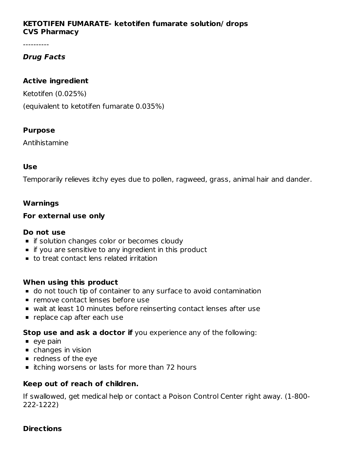## **KETOTIFEN FUMARATE- ketotifen fumarate solution/ drops CVS Pharmacy**

----------

## **Drug Facts**

### **Active ingredient**

Ketotifen (0.025%)

(equivalent to ketotifen fumarate 0.035%)

## **Purpose**

Antihistamine

## **Use**

Temporarily relieves itchy eyes due to pollen, ragweed, grass, animal hair and dander.

## **Warnings**

### **For external use only**

### **Do not use**

- **F** if solution changes color or becomes cloudy
- **if you are sensitive to any ingredient in this product**
- to treat contact lens related irritation

### **When using this product**

- do not touch tip of container to any surface to avoid contamination
- **P** remove contact lenses before use
- wait at least 10 minutes before reinserting contact lenses after use
- **P** replace cap after each use

**Stop use and ask a doctor if** you experience any of the following:

- $\bullet$  eye pain
- changes in vision
- **•** redness of the eye
- itching worsens or lasts for more than 72 hours

## **Keep out of reach of children.**

If swallowed, get medical help or contact a Poison Control Center right away. (1-800- 222-1222)

### **Directions**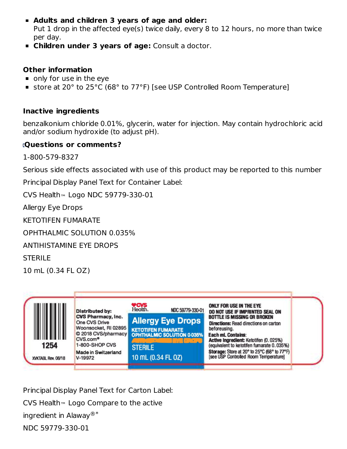- **Adults and children 3 years of age and older:** Put 1 drop in the affected eye(s) twice daily, every 8 to 12 hours, no more than twice per day.
- **Children under 3 years of age:** Consult a doctor.

## **Other information**

- only for use in the eye
- store at 20° to 25°C (68° to 77°F) [see USP Controlled Room Temperature]

## **Inactive ingredients**

benzalkonium chloride 0.01%, glycerin, water for injection. May contain hydrochloric acid and/or sodium hydroxide (to adjust pH).

## **Questions or comments?**

1-800-579-8327

Serious side effects associated with use of this product may be reported to this number

Principal Display Panel Text for Container Label:

 $\textsf{CVS}$  Healthm Logo NDC 59779-330-01

Allergy Eye Drops

KETOTIFEN FUMARATE

OPHTHALMIC SOLUTION 0.035%

ANTIHISTAMINE EYE DROPS

STERILE

10 mL (0.34 FL OZ)



Principal Display Panel Text for Carton Label: CVS Health $\scriptstyle\rm\scriptstyle m$  Logo Compare to the active ingredient in Alaway ®\*NDC 59779-330-01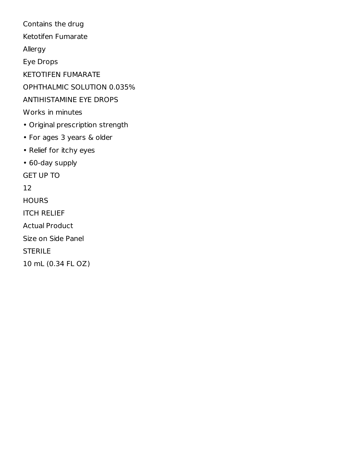Contains the drug Ketotifen Fumarate Allergy Eye Drops KETOTIFEN FUMARATE OPHTHALMIC SOLUTION 0.035% ANTIHISTAMINE EYE DROPS Works in minutes • Original prescription strength • For ages 3 years & older • Relief for itchy eyes • 60-day supply GET UP TO 12 **HOURS** ITCH RELIEF Actual Product Size on Side Panel STERILE 10 mL (0.34 FL OZ)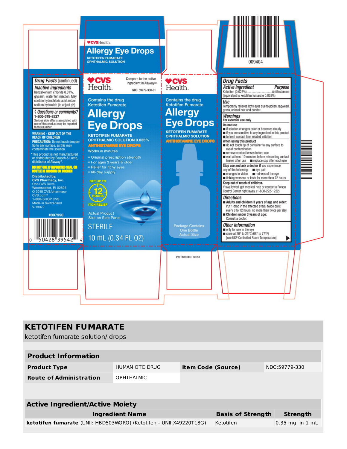

| <b>KETOTIFEN FUMARATE</b><br>ketotifen fumarate solution/ drops            |                   |                           |           |                     |
|----------------------------------------------------------------------------|-------------------|---------------------------|-----------|---------------------|
| <b>Product Information</b>                                                 |                   |                           |           |                     |
| <b>Product Type</b>                                                        | HUMAN OTC DRUG    | <b>Item Code (Source)</b> |           | NDC:59779-330       |
| <b>Route of Administration</b>                                             | <b>OPHTHALMIC</b> |                           |           |                     |
|                                                                            |                   |                           |           |                     |
| <b>Active Ingredient/Active Moiety</b>                                     |                   |                           |           |                     |
| <b>Ingredient Name</b><br><b>Basis of Strength</b>                         |                   |                           |           | <b>Strength</b>     |
| <b>ketotifen fumarate</b> (UNII: HBD503WORO) (Ketotifen - UNII:X49220T18G) |                   |                           | Ketotifen | $0.35$ mg in $1$ mL |